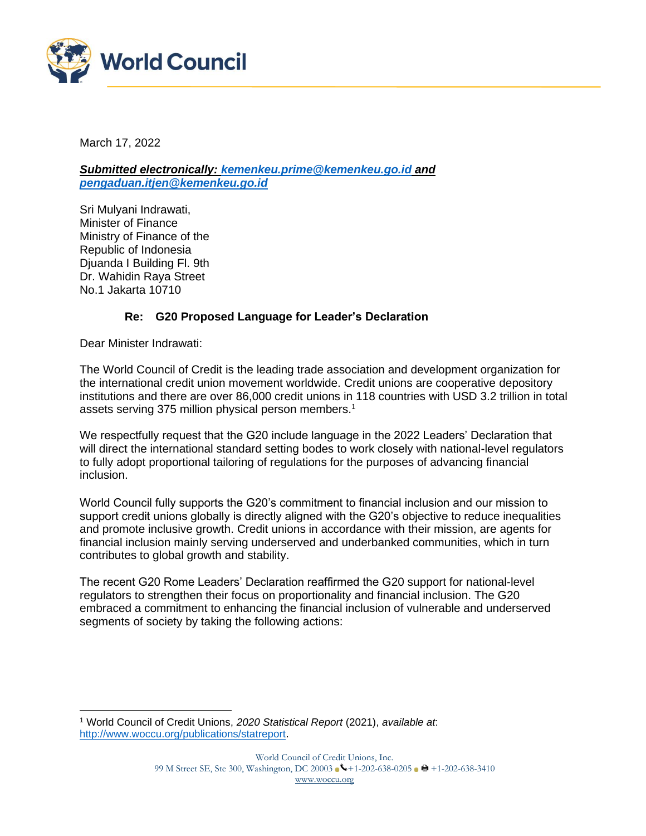

March 17, 2022

*Submitted electronically: [kemenkeu.prime@kemenkeu.go.id](mailto:kemenkeu.prime@kemenkeu.go.id) and [pengaduan.itjen@kemenkeu.go.id](mailto:pengaduan.itjen@kemenkeu.go.id)*

Sri Mulyani Indrawati, Minister of Finance Ministry of Finance of the Republic of Indonesia Djuanda I Building Fl. 9th Dr. Wahidin Raya Street No.1 Jakarta 10710

## **Re: G20 Proposed Language for Leader's Declaration**

Dear Minister Indrawati:

The World Council of Credit is the leading trade association and development organization for the international credit union movement worldwide. Credit unions are cooperative depository institutions and there are over 86,000 credit unions in 118 countries with USD 3.2 trillion in total assets serving 375 million physical person members.<sup>1</sup>

We respectfully request that the G20 include language in the 2022 Leaders' Declaration that will direct the international standard setting bodes to work closely with national-level regulators to fully adopt proportional tailoring of regulations for the purposes of advancing financial inclusion.

World Council fully supports the G20's commitment to financial inclusion and our mission to support credit unions globally is directly aligned with the G20's objective to reduce inequalities and promote inclusive growth. Credit unions in accordance with their mission, are agents for financial inclusion mainly serving underserved and underbanked communities, which in turn contributes to global growth and stability.

The recent G20 Rome Leaders' Declaration reaffirmed the G20 support for national-level regulators to strengthen their focus on proportionality and financial inclusion. The G20 embraced a commitment to enhancing the financial inclusion of vulnerable and underserved segments of society by taking the following actions:

<sup>1</sup> World Council of Credit Unions, *2020 Statistical Report* (2021), *available at*: [http://www.woccu.org/publications/statreport.](http://www.woccu.org/publications/statreport)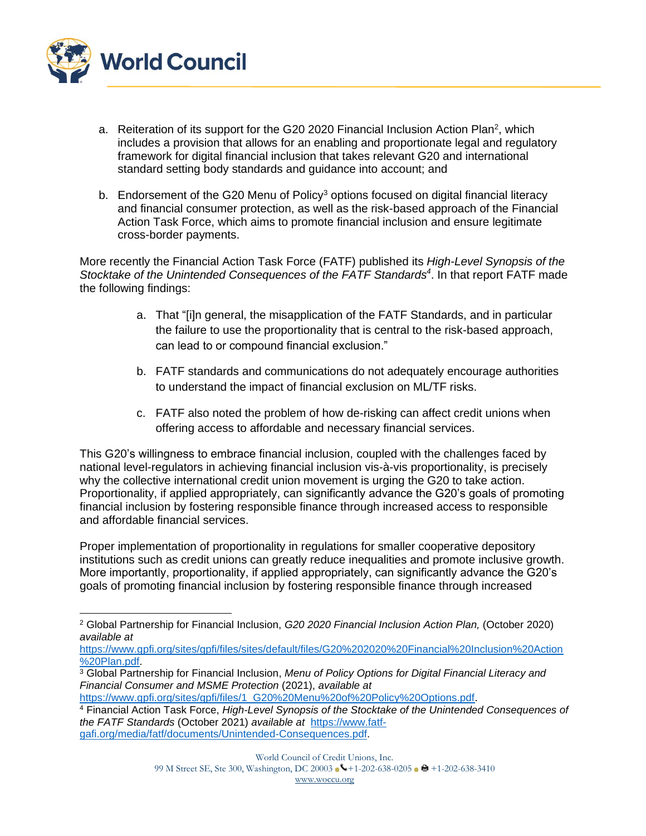

- a. Reiteration of its support for the G20 2020 Financial Inclusion Action Plan<sup>2</sup>, which includes a provision that allows for an enabling and proportionate legal and regulatory framework for digital financial inclusion that takes relevant G20 and international standard setting body standards and guidance into account; and
- b. Endorsement of the G20 Menu of Policy<sup>3</sup> options focused on digital financial literacy and financial consumer protection, as well as the risk-based approach of the Financial Action Task Force, which aims to promote financial inclusion and ensure legitimate cross-border payments.

More recently the Financial Action Task Force (FATF) published its *High-Level Synopsis of the Stocktake of the Unintended Consequences of the FATF Standards<sup>4</sup>* . In that report FATF made the following findings:

- a. That "[i]n general, the misapplication of the FATF Standards, and in particular the failure to use the proportionality that is central to the risk-based approach, can lead to or compound financial exclusion."
- b. FATF standards and communications do not adequately encourage authorities to understand the impact of financial exclusion on ML/TF risks.
- c. FATF also noted the problem of how de-risking can affect credit unions when offering access to affordable and necessary financial services.

This G20's willingness to embrace financial inclusion, coupled with the challenges faced by national level-regulators in achieving financial inclusion vis-à-vis proportionality, is precisely why the collective international credit union movement is urging the G20 to take action. Proportionality, if applied appropriately, can significantly advance the G20's goals of promoting financial inclusion by fostering responsible finance through increased access to responsible and affordable financial services.

Proper implementation of proportionality in regulations for smaller cooperative depository institutions such as credit unions can greatly reduce inequalities and promote inclusive growth. More importantly, proportionality, if applied appropriately, can significantly advance the G20's goals of promoting financial inclusion by fostering responsible finance through increased

[https://www.gpfi.org/sites/gpfi/files/sites/default/files/G20%202020%20Financial%20Inclusion%20Action](https://www.gpfi.org/sites/gpfi/files/sites/default/files/G20%202020%20Financial%20Inclusion%20Action%20Plan.pdf) [%20Plan.pdf.](https://www.gpfi.org/sites/gpfi/files/sites/default/files/G20%202020%20Financial%20Inclusion%20Action%20Plan.pdf)

<sup>2</sup> Global Partnership for Financial Inclusion, *G20 2020 Financial Inclusion Action Plan,* (October 2020) *available at*

<sup>3</sup> Global Partnership for Financial Inclusion, *Menu of Policy Options for Digital Financial Literacy and Financial Consumer and MSME Protection* (2021), *available at* 

[https://www.gpfi.org/sites/gpfi/files/1\\_G20%20Menu%20of%20Policy%20Options.pdf.](https://www.gpfi.org/sites/gpfi/files/1_G20%20Menu%20of%20Policy%20Options.pdf)

<sup>4</sup> Financial Action Task Force, *High-Level Synopsis of the Stocktake of the Unintended Consequences of the FATF Standards* (October 2021) *available at* [https://www.fatf](https://www.fatf-gafi.org/media/fatf/documents/Unintended-Consequences.pdf)[gafi.org/media/fatf/documents/Unintended-Consequences.pdf.](https://www.fatf-gafi.org/media/fatf/documents/Unintended-Consequences.pdf)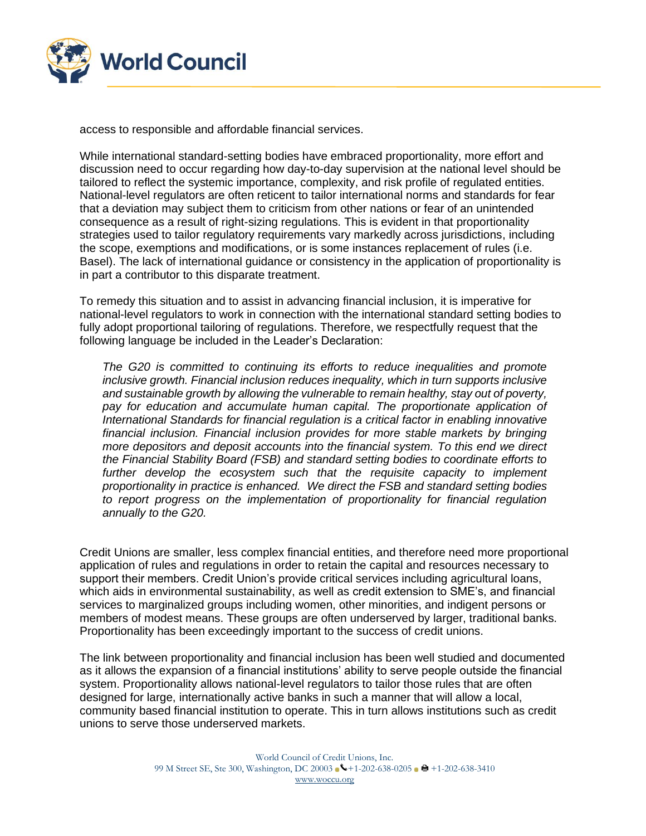

access to responsible and affordable financial services.

While international standard-setting bodies have embraced proportionality, more effort and discussion need to occur regarding how day-to-day supervision at the national level should be tailored to reflect the systemic importance, complexity, and risk profile of regulated entities. National-level regulators are often reticent to tailor international norms and standards for fear that a deviation may subject them to criticism from other nations or fear of an unintended consequence as a result of right-sizing regulations. This is evident in that proportionality strategies used to tailor regulatory requirements vary markedly across jurisdictions, including the scope, exemptions and modifications, or is some instances replacement of rules (i.e. Basel). The lack of international guidance or consistency in the application of proportionality is in part a contributor to this disparate treatment.

To remedy this situation and to assist in advancing financial inclusion, it is imperative for national-level regulators to work in connection with the international standard setting bodies to fully adopt proportional tailoring of regulations. Therefore, we respectfully request that the following language be included in the Leader's Declaration:

*The G20 is committed to continuing its efforts to reduce inequalities and promote inclusive growth. Financial inclusion reduces inequality, which in turn supports inclusive and sustainable growth by allowing the vulnerable to remain healthy, stay out of poverty,*  pay for education and accumulate human capital. The proportionate application of *International Standards for financial regulation is a critical factor in enabling innovative financial inclusion. Financial inclusion provides for more stable markets by bringing more depositors and deposit accounts into the financial system. To this end we direct the Financial Stability Board (FSB) and standard setting bodies to coordinate efforts to*  further develop the ecosystem such that the requisite capacity to implement *proportionality in practice is enhanced. We direct the FSB and standard setting bodies to report progress on the implementation of proportionality for financial regulation annually to the G20.* 

Credit Unions are smaller, less complex financial entities, and therefore need more proportional application of rules and regulations in order to retain the capital and resources necessary to support their members. Credit Union's provide critical services including agricultural loans, which aids in environmental sustainability, as well as credit extension to SME's, and financial services to marginalized groups including women, other minorities, and indigent persons or members of modest means. These groups are often underserved by larger, traditional banks. Proportionality has been exceedingly important to the success of credit unions.

The link between proportionality and financial inclusion has been well studied and documented as it allows the expansion of a financial institutions' ability to serve people outside the financial system. Proportionality allows national-level regulators to tailor those rules that are often designed for large, internationally active banks in such a manner that will allow a local, community based financial institution to operate. This in turn allows institutions such as credit unions to serve those underserved markets.